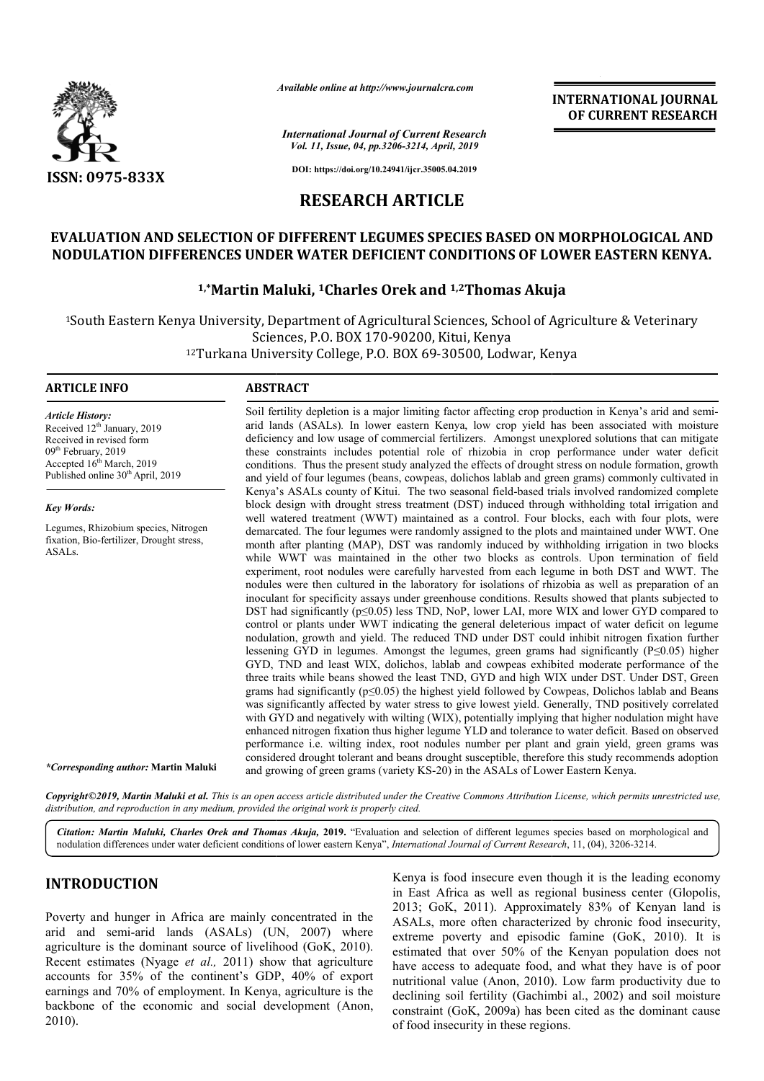

*Available online at http://www.journalcra.com*

**INTERNATIONAL JOURNAL OF CURRENT RESEARCH**

*International Journal of Current Research Vol. 11, Issue, 04, pp.3206-3214, April, 2019*

**DOI: https://doi.org/10.24941/ijcr.35005.04.2019**

# **RESEARCH ARTICLE**

# **EVALUATION AND SELECTION OF DIFFERENT LEGUMES SPECIES BASED ON MORPHOLOGICAL AND NODULATION DIFFERENCES UNDER WATER DEFICIENT CONDITIONS OF LOWER EASTERN KENYA. SPECIES BASED ON MORPHOLOGICAL AND CONDITIONS OF LOWER EASTERN KENYA.**<br>nd <sup>1,2</sup>Thomas Akuja

# **1,\*Martin Maluki, Martin 1Charles Orek and 1,2Thomas Akuja**

<sup>1</sup>South Eastern Kenya University, Department of Agricultural Sciences, School of Agriculture & Veterinary<br>Sciences, P.O. BOX 170-90200, Kitui, Kenya<br><sup>12</sup>Turkana University College, P.O. BOX 69-30500, Lodwar, Kenya Sciences, P.O. BOX 170-90200, Kitui, Kenya 12Turkana University College, P.O. BOX 69 69-30500, Lodwar, Kenya

#### **ARTICLE INFO ABSTRACT**

*Article History:* Received 12<sup>th</sup> January, 2019 Received in revised form 09<sup>th</sup> February, 2019 Accepted 16<sup>th</sup> March, 2019 Published online 30<sup>th</sup> April, 2019

*Key Words:*

Legumes, Rhizobium species, Nitrogen fixation, Bio-fertilizer, Drought stress, ASALs.

*\*Corresponding author:* **Martin Maluki**

arid lands (ASALs)*.* In lower eastern Kenya, low crop yield has been associated with moisture deficiency and low usage of commercial fertilizers. Amongst unexplored solutions that can mitigate arid lands (ASALs). In lower eastern Kenya, low crop yield has been associated with moisture deficiency and low usage of commercial fertilizers. Amongst unexplored solutions that can mitigate these constraints includes pot conditions. Thus the present study analyzed the effects of drought stress on nodule formation, growth and yield of four legumes (beans, cowpeas, dolichos lablab and green grams) commonly cultivated in Kenya's ASALs county of Kitui. The two seasonal field-based trials involved randomized complete block design with drought stress treatment (DST) induced through withholding total irrigation and well watered treatment (WWT) maintained as a control. Four blocks, each with four plots, were demarcated. The four legumes were randomly assigned to the plots and maintained under WWT. One month after planting (MAP), DST was randomly induced by withholding irrigation in two blocks while WWT was maintained in the other two blocks as controls. Upon termination of field experiment, root nodules were carefully harvested from each legume in both DST and WWT. The nodules were then cultured in the laboratory for isolations of rhizobia as well as preparation of an inoculant for specificity assays under greenhouse conditions. Results showed that plants subjected to DST had significantly  $(p \le 0.05)$  less TND, NoP, lower LAI, more WIX and lower GYD compared to control or plants under WWT indicating the general deleterious impact of water deficit on legume nodulation, growth and yield. The reduced TND under DST could inhibit nitrogen fixation further lessening GYD in legumes. Amongst the legumes, green grams had significantly  $(P \le 0.05)$  higher GYD, TND and least WIX, dolichos, lablab and cowpeas exhibited moderate performance of the three traits while beans showed the least TND, GYD and high WIX under DST. Under DST, Green grams had significantly  $(p \le 0.05)$  the highest yield followed by Cowpeas, Dolichos lablab and Beans was significantly affected by water stress to give lowest yield. Generally, TND positively correlated with GYD and negatively with wilting (WIX), potentially implying that higher nodulation might have enhanced nitrogen fixation thus higher legume YLD and tolerance to water deficit. Based on observed performance i.e. wilting index, root nodules number per plant and grain yield, green grams was considered drought tolerant and beans drought susceptible, therefore this study recommends adoption performance i.e. wilting index, root nodules number per plant and considered drought tolerant and beans drought susceptible, therefore thand growing of green grams (variety KS-20) in the ASALs of Lower E conditions. Thus the present study analyzed the effects of drought stress on nodule formation, growth and yield of four legumes (beans, cowpeas, dolichos lablab and green grams) commonly cultivated in Kenya's ASALs county experiment, root nodules were carefully harvested from each legume in both DST and WWT. The nodules were then cultured in the laboratory for isolations of rhizobia as well as preparation of an inoculant for specificity as three traits while beans showed the least TND, GYD and high WIX under DST. Under DST, Green<br>grams had significantly (p≤0.05) the highest yield followed by Cowpeas, Dolichos lablab and Beans<br>was significantly affected by w **EXTERNATIONAL JOUENAL (For CONSTRATIONAL JOUENAL For Approximately the Apple 12010). The ASAL SC 2000 (FIRE CILES AND CONDITIONS OF LOWER EASTERN KENYA. CONDITIONS OF LOWER EASTERN KENYA. CONDITIONS OF LOWER EASTERN KENY** 

Soil fertility depletion is a major limiting factor affecting crop production in Kenya's arid and semi-

Copyright©2019, Martin Maluki et al. This is an open access article distributed under the Creative Commons Attribution License, which permits unrestricted use, *distribution, and reproduction in any medium, provided the original work is properly cited.*

Citation: Martin Maluki, Charles Orek and Thomas Akuja, 2019. "Evaluation and selection of different legumes species based on morphological and nodulation differences under water deficient conditions of lower eastern Kenya", *International Journal of Current Research*, 11, (04), 3206-3214.

### **INTRODUCTION**

Poverty and hunger in Africa are mainly concentrated in the arid and semi-arid lands (ASALs) (UN, 2007) where agriculture is the dominant source of livelihood (GoK, 2010). Recent estimates (Nyage *et al.,* 2011) show that agriculture accounts for 35% of the continent's GDP, 40% of export earnings and 70% of employment. In Kenya, agriculture is the backbone of the economic and social development (Anon, 2010).

**ION**<br>
arid Lands (ASALs) (UN, 2007) where the extreme poverty and enisodic famine (GoK 2010) It is<br>
arid lands (ASALs) (UN, 2007) where extreme poverty and enisodic famine (GoK 2010) It is in East Africa as well as regional business center (Glopolis, 2013; GoK, 2011). Approximately 83% of Kenyan land is ASALs, more often characterized by chronic food insecurity, extreme poverty and episodic famine (GoK, 2010). It is estimated that over 50% of the Kenyan population does not have access to adequate food, and what they have is of poor nutritional value (Anon, 2010). Low farm productivity due to declining soil fertility (Gachimbi al., 2002) and soil moisture constraint (GoK, 2009a) has been cited as the dominant cause of food insecurity in these regions. Kenya is food insecure even though it is the leading economy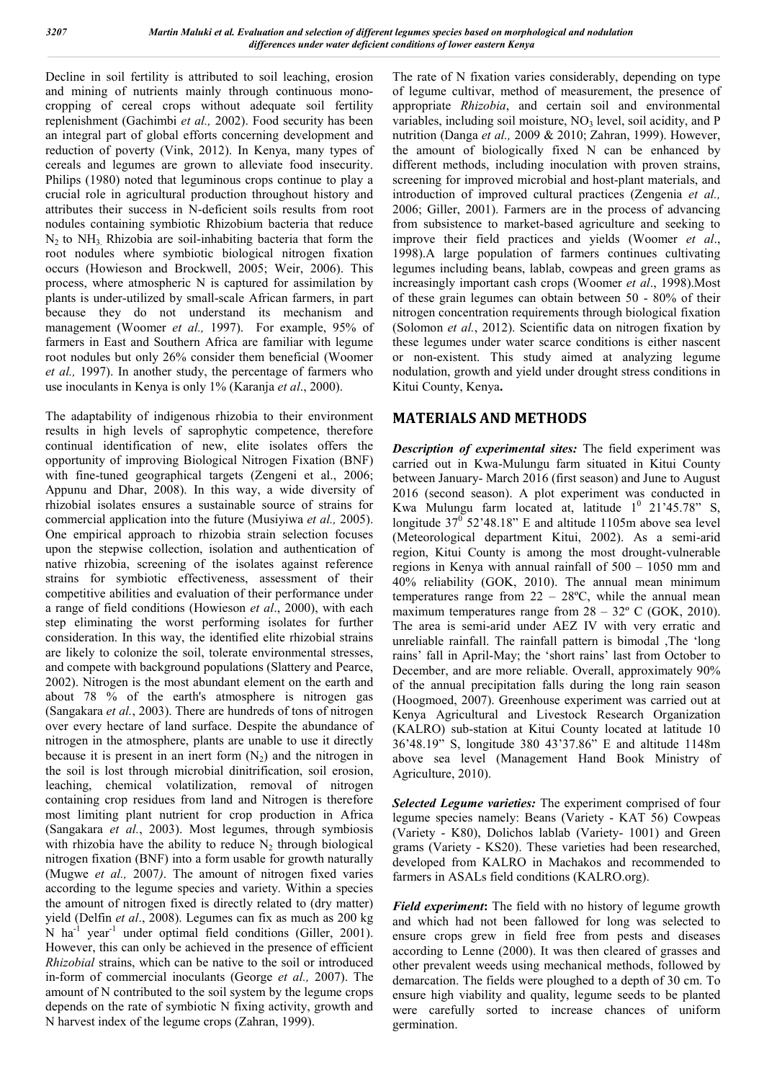Decline in soil fertility is attributed to soil leaching, erosion and mining of nutrients mainly through continuous monocropping of cereal crops without adequate soil fertility replenishment (Gachimbi *et al.,* 2002). Food security has been an integral part of global efforts concerning development and reduction of poverty (Vink, 2012). In Kenya, many types of cereals and legumes are grown to alleviate food insecurity. Philips (1980) noted that leguminous crops continue to play a crucial role in agricultural production throughout history and attributes their success in N-deficient soils results from root nodules containing symbiotic Rhizobium bacteria that reduce  $N_2$  to  $NH_3$ . Rhizobia are soil-inhabiting bacteria that form the root nodules where symbiotic biological nitrogen fixation occurs (Howieson and Brockwell, 2005; Weir, 2006). This process, where atmospheric N is captured for assimilation by plants is under-utilized by small-scale African farmers, in part because they do not understand its mechanism and management (Woomer *et al.,* 1997). For example, 95% of farmers in East and Southern Africa are familiar with legume root nodules but only 26% consider them beneficial (Woomer *et al.,* 1997). In another study, the percentage of farmers who use inoculants in Kenya is only 1% (Karanja *et al*., 2000).

The adaptability of indigenous rhizobia to their environment results in high levels of saprophytic competence, therefore continual identification of new, elite isolates offers the opportunity of improving Biological Nitrogen Fixation (BNF) with fine-tuned geographical targets (Zengeni et al., 2006; Appunu and Dhar, 2008). In this way, a wide diversity of rhizobial isolates ensures a sustainable source of strains for commercial application into the future (Musiyiwa *et al.,* 2005). One empirical approach to rhizobia strain selection focuses upon the stepwise collection, isolation and authentication of native rhizobia, screening of the isolates against reference strains for symbiotic effectiveness, assessment of their competitive abilities and evaluation of their performance under a range of field conditions (Howieson *et al*., 2000), with each step eliminating the worst performing isolates for further consideration. In this way, the identified elite rhizobial strains are likely to colonize the soil, tolerate environmental stresses, and compete with background populations (Slattery and Pearce, 2002). Nitrogen is the most abundant element on the earth and about 78 % of the earth's atmosphere is nitrogen gas (Sangakara *et al.*, 2003). There are hundreds of tons of nitrogen over every hectare of land surface. Despite the abundance of nitrogen in the atmosphere, plants are unable to use it directly because it is present in an inert form  $(N_2)$  and the nitrogen in the soil is lost through microbial dinitrification, soil erosion, leaching, chemical volatilization, removal of nitrogen containing crop residues from land and Nitrogen is therefore most limiting plant nutrient for crop production in Africa (Sangakara *et al.*, 2003). Most legumes, through symbiosis with rhizobia have the ability to reduce  $N_2$  through biological nitrogen fixation (BNF) into a form usable for growth naturally (Mugwe *et al.,* 2007*)*. The amount of nitrogen fixed varies according to the legume species and variety. Within a species the amount of nitrogen fixed is directly related to (dry matter) yield (Delfin *et al*., 2008). Legumes can fix as much as 200 kg N ha<sup>-1</sup> year<sup>-1</sup> under optimal field conditions (Giller, 2001). However, this can only be achieved in the presence of efficient *Rhizobial* strains, which can be native to the soil or introduced in-form of commercial inoculants (George *et al.,* 2007). The amount of N contributed to the soil system by the legume crops depends on the rate of symbiotic N fixing activity, growth and N harvest index of the legume crops (Zahran, 1999).

The rate of N fixation varies considerably, depending on type of legume cultivar, method of measurement, the presence of appropriate *Rhizobia*, and certain soil and environmental variables, including soil moisture,  $NO<sub>3</sub>$  level, soil acidity, and P nutrition (Danga *et al.,* 2009 & 2010; Zahran, 1999). However, the amount of biologically fixed N can be enhanced by different methods, including inoculation with proven strains, screening for improved microbial and host-plant materials, and introduction of improved cultural practices (Zengenia *et al.,*  2006; Giller, 2001). Farmers are in the process of advancing from subsistence to market-based agriculture and seeking to improve their field practices and yields (Woomer *et al*., 1998).A large population of farmers continues cultivating legumes including beans, lablab, cowpeas and green grams as increasingly important cash crops (Woomer *et al*., 1998).Most of these grain legumes can obtain between 50 - 80% of their nitrogen concentration requirements through biological fixation (Solomon *et al.*, 2012). Scientific data on nitrogen fixation by these legumes under water scarce conditions is either nascent or non-existent. This study aimed at analyzing legume nodulation, growth and yield under drought stress conditions in Kitui County, Kenya**.**

# **MATERIALS AND METHODS**

*Description of experimental sites:* The field experiment was carried out in Kwa-Mulungu farm situated in Kitui County between January- March 2016 (first season) and June to August 2016 (second season). A plot experiment was conducted in Kwa Mulungu farm located at, latitude  $1^0$  21'45.78" S, longitude  $37^{\circ}$  52'48.18" E and altitude 1105m above sea level (Meteorological department Kitui, 2002). As a semi-arid region, Kitui County is among the most drought-vulnerable regions in Kenya with annual rainfall of 500 – 1050 mm and 40% reliability (GOK, 2010). The annual mean minimum temperatures range from  $22 - 28$ °C, while the annual mean maximum temperatures range from  $28 - 32^{\circ}$  C (GOK, 2010). The area is semi-arid under AEZ IV with very erratic and unreliable rainfall. The rainfall pattern is bimodal ,The 'long rains' fall in April-May; the 'short rains' last from October to December, and are more reliable. Overall, approximately 90% of the annual precipitation falls during the long rain season (Hoogmoed, 2007). Greenhouse experiment was carried out at Kenya Agricultural and Livestock Research Organization (KALRO) sub-station at Kitui County located at latitude 10 36'48.19" S, longitude 380 43'37.86" E and altitude 1148m above sea level (Management Hand Book Ministry of Agriculture, 2010).

*Selected Legume varieties:* The experiment comprised of four legume species namely: Beans (Variety - KAT 56) Cowpeas (Variety - K80), Dolichos lablab (Variety- 1001) and Green grams (Variety - KS20). These varieties had been researched, developed from KALRO in Machakos and recommended to farmers in ASALs field conditions (KALRO.org).

*Field experiment***:** The field with no history of legume growth and which had not been fallowed for long was selected to ensure crops grew in field free from pests and diseases according to Lenne (2000). It was then cleared of grasses and other prevalent weeds using mechanical methods, followed by demarcation. The fields were ploughed to a depth of 30 cm. To ensure high viability and quality, legume seeds to be planted were carefully sorted to increase chances of uniform germination.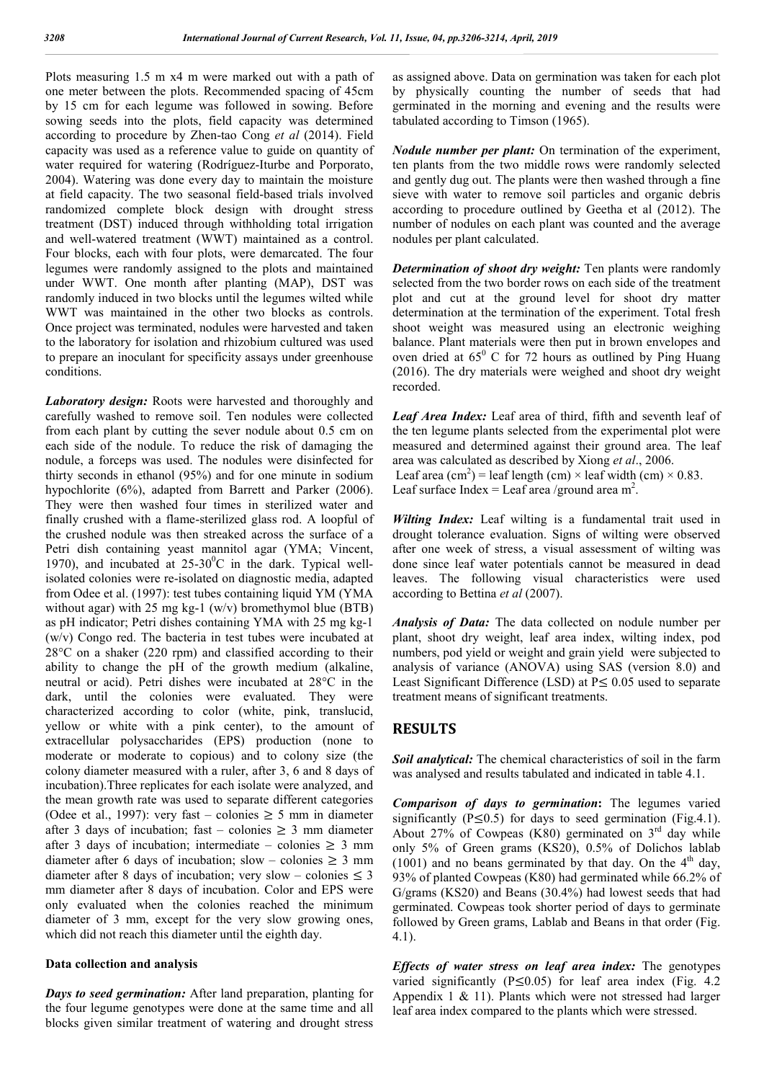Plots measuring 1.5 m x4 m were marked out with a path of one meter between the plots. Recommended spacing of 45cm by 15 cm for each legume was followed in sowing. Before sowing seeds into the plots, field capacity was determined according to procedure by Zhen-tao Cong *et al* (2014). Field capacity was used as a reference value to guide on quantity of water required for watering (Rodríguez-Iturbe and Porporato, 2004). Watering was done every day to maintain the moisture at field capacity. The two seasonal field-based trials involved randomized complete block design with drought stress treatment (DST) induced through withholding total irrigation and well-watered treatment (WWT) maintained as a control. Four blocks, each with four plots, were demarcated. The four legumes were randomly assigned to the plots and maintained under WWT. One month after planting (MAP), DST was randomly induced in two blocks until the legumes wilted while WWT was maintained in the other two blocks as controls. Once project was terminated, nodules were harvested and taken to the laboratory for isolation and rhizobium cultured was used to prepare an inoculant for specificity assays under greenhouse conditions.

*Laboratory design:* Roots were harvested and thoroughly and carefully washed to remove soil. Ten nodules were collected from each plant by cutting the sever nodule about 0.5 cm on each side of the nodule. To reduce the risk of damaging the nodule, a forceps was used. The nodules were disinfected for thirty seconds in ethanol (95%) and for one minute in sodium hypochlorite (6%), adapted from Barrett and Parker (2006). They were then washed four times in sterilized water and finally crushed with a flame-sterilized glass rod. A loopful of the crushed nodule was then streaked across the surface of a Petri dish containing yeast mannitol agar (YMA; Vincent, 1970), and incubated at  $25{\text -}30^0$ C in the dark. Typical wellisolated colonies were re-isolated on diagnostic media, adapted from Odee et al. (1997): test tubes containing liquid YM (YMA without agar) with 25 mg kg-1  $(w/v)$  bromethymol blue (BTB) as pH indicator; Petri dishes containing YMA with 25 mg kg-1 (w/v) Congo red. The bacteria in test tubes were incubated at 28°C on a shaker (220 rpm) and classified according to their ability to change the pH of the growth medium (alkaline, neutral or acid). Petri dishes were incubated at 28°C in the dark, until the colonies were evaluated. They were characterized according to color (white, pink, translucid, yellow or white with a pink center), to the amount of extracellular polysaccharides (EPS) production (none to moderate or moderate to copious) and to colony size (the colony diameter measured with a ruler, after 3, 6 and 8 days of incubation).Three replicates for each isolate were analyzed, and the mean growth rate was used to separate different categories (Odee et al., 1997): very fast – colonies  $\geq$  5 mm in diameter after 3 days of incubation; fast – colonies  $\geq$  3 mm diameter after 3 days of incubation; intermediate – colonies  $\geq$  3 mm diameter after 6 days of incubation; slow – colonies  $\geq 3$  mm diameter after 8 days of incubation; very slow – colonies  $\leq 3$ mm diameter after 8 days of incubation. Color and EPS were only evaluated when the colonies reached the minimum diameter of 3 mm, except for the very slow growing ones, which did not reach this diameter until the eighth day.

#### **Data collection and analysis**

*Days to seed germination:* After land preparation, planting for the four legume genotypes were done at the same time and all blocks given similar treatment of watering and drought stress as assigned above. Data on germination was taken for each plot by physically counting the number of seeds that had germinated in the morning and evening and the results were tabulated according to Timson (1965).

*Nodule number per plant:* On termination of the experiment, ten plants from the two middle rows were randomly selected and gently dug out. The plants were then washed through a fine sieve with water to remove soil particles and organic debris according to procedure outlined by Geetha et al (2012). The number of nodules on each plant was counted and the average nodules per plant calculated.

*Determination of shoot dry weight:* Ten plants were randomly selected from the two border rows on each side of the treatment plot and cut at the ground level for shoot dry matter determination at the termination of the experiment. Total fresh shoot weight was measured using an electronic weighing balance. Plant materials were then put in brown envelopes and oven dried at  $65^{\circ}$  C for 72 hours as outlined by Ping Huang (2016). The dry materials were weighed and shoot dry weight recorded.

*Leaf Area Index:* Leaf area of third, fifth and seventh leaf of the ten legume plants selected from the experimental plot were measured and determined against their ground area. The leaf area was calculated as described by Xiong *et al*., 2006. Leaf area  $(cm^2)$  = leaf length (cm) × leaf width (cm) × 0.83. Leaf surface Index = Leaf area /ground area  $m^2$ .

*Wilting Index:* Leaf wilting is a fundamental trait used in drought tolerance evaluation. Signs of wilting were observed after one week of stress, a visual assessment of wilting was done since leaf water potentials cannot be measured in dead leaves. The following visual characteristics were used according to Bettina *et al* (2007).

*Analysis of Data:* The data collected on nodule number per plant, shoot dry weight, leaf area index, wilting index, pod numbers, pod yield or weight and grain yield were subjected to analysis of variance (ANOVA) using SAS (version 8.0) and Least Significant Difference (LSD) at  $P \le 0.05$  used to separate treatment means of significant treatments.

#### **RESULTS**

*Soil analytical:* The chemical characteristics of soil in the farm was analysed and results tabulated and indicated in table 4.1.

*Comparison of days to germination***:** The legumes varied significantly ( $P \le 0.5$ ) for days to seed germination (Fig.4.1). About 27% of Cowpeas (K80) germinated on 3<sup>rd</sup> day while only 5% of Green grams (KS20), 0.5% of Dolichos lablab  $(1001)$  and no beans germinated by that day. On the 4<sup>th</sup> day, 93% of planted Cowpeas (K80) had germinated while 66.2% of G/grams (KS20) and Beans (30.4%) had lowest seeds that had germinated. Cowpeas took shorter period of days to germinate followed by Green grams, Lablab and Beans in that order (Fig. 4.1).

*Effects of water stress on leaf area index:* The genotypes varied significantly ( $P \le 0.05$ ) for leaf area index (Fig. 4.2) Appendix 1 & 11). Plants which were not stressed had larger leaf area index compared to the plants which were stressed.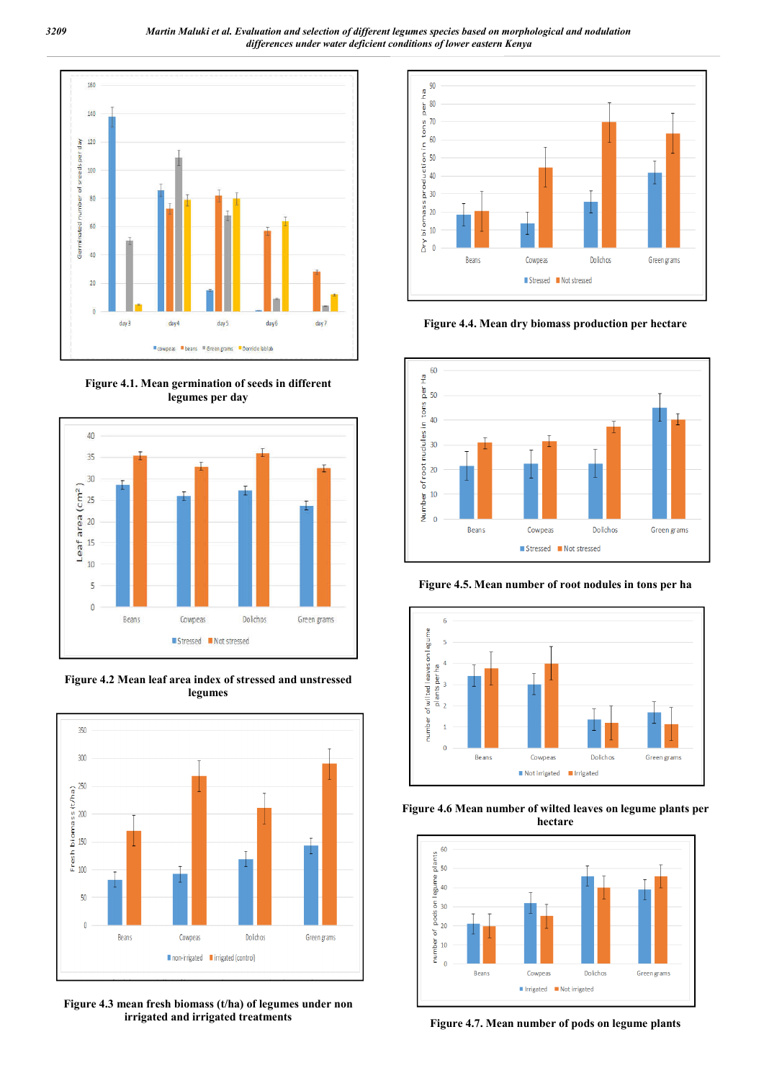*3209 Martin Maluki et al. Evaluation and selection of different legumes species based on morphological and nodulation differences under water deficient conditions of lower eastern Kenya*



**Figure 4.1. Mean germination of seeds in different legumes per day**



**Figure 4.2 Mean leaf area index of stressed and unstressed legumes**



**Figure 4.3 mean fresh biomass (t/ha) of legumes under non irrigated and irrigated treatments**



**Figure 4.4. Mean dry biomass production per hectare**



**Figure 4.5. Mean number of root nodules in tons per ha**







**Figure 4.7. Mean number of pods on legume plants**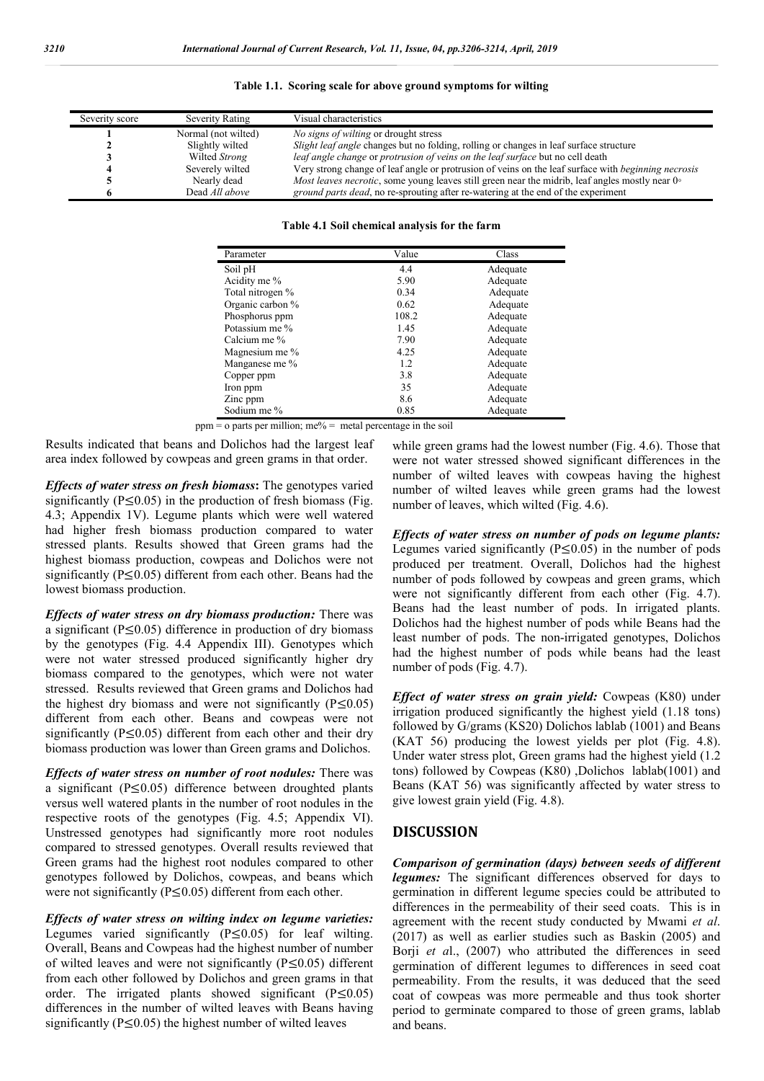| Severity score | Severity Rating     | Visual characteristics                                                                                           |
|----------------|---------------------|------------------------------------------------------------------------------------------------------------------|
|                | Normal (not wilted) | <i>No signs of wilting or drought stress</i>                                                                     |
|                | Slightly wilted     | Slight leaf angle changes but no folding, rolling or changes in leaf surface structure                           |
|                | Wilted Strong       | leaf angle change or protrusion of veins on the leaf surface but no cell death                                   |
|                | Severely wilted     | Very strong change of leaf angle or protrusion of veins on the leaf surface with <i>beginning necrosis</i>       |
|                | Nearly dead         | <i>Most leaves necrotic</i> , some young leaves still green near the midrib, leaf angles mostly near $0^{\circ}$ |
|                | Dead All above      | ground parts dead, no re-sprouting after re-watering at the end of the experiment                                |

**Table 1.1. Scoring scale for above ground symptoms for wilting**

**Table 4.1 Soil chemical analysis for the farm**

| Parameter        | Value | Class    |
|------------------|-------|----------|
| Soil pH          | 4.4   | Adequate |
| Acidity me %     | 5.90  | Adequate |
| Total nitrogen % | 0.34  | Adequate |
| Organic carbon % | 0.62  | Adequate |
| Phosphorus ppm   | 108.2 | Adequate |
| Potassium me %   | 1.45  | Adequate |
| Calcium me %     | 7.90  | Adequate |
| Magnesium me %   | 4.25  | Adequate |
| Manganese me %   | 1.2   | Adequate |
| Copper ppm       | 3.8   | Adequate |
| Iron ppm         | 35    | Adequate |
| Zinc ppm         | 8.6   | Adequate |
| Sodium me %      | 0.85  | Adequate |

 $ppm = o$  parts per million; me% = metal percentage in the soil

Results indicated that beans and Dolichos had the largest leaf area index followed by cowpeas and green grams in that order.

*Effects of water stress on fresh biomass***:** The genotypes varied significantly  $(P<0.05)$  in the production of fresh biomass (Fig. 4.3; Appendix 1V). Legume plants which were well watered had higher fresh biomass production compared to water stressed plants. Results showed that Green grams had the highest biomass production, cowpeas and Dolichos were not significantly ( $P \le 0.05$ ) different from each other. Beans had the lowest biomass production.

*Effects of water stress on dry biomass production:* There was a significant (P≤0.05) difference in production of dry biomass by the genotypes (Fig. 4.4 Appendix III). Genotypes which were not water stressed produced significantly higher dry biomass compared to the genotypes, which were not water stressed. Results reviewed that Green grams and Dolichos had the highest dry biomass and were not significantly (P≤0.05) different from each other. Beans and cowpeas were not significantly ( $P \le 0.05$ ) different from each other and their dry biomass production was lower than Green grams and Dolichos.

*Effects of water stress on number of root nodules:* There was a significant ( $P \le 0.05$ ) difference between droughted plants versus well watered plants in the number of root nodules in the respective roots of the genotypes (Fig. 4.5; Appendix VI). Unstressed genotypes had significantly more root nodules compared to stressed genotypes. Overall results reviewed that Green grams had the highest root nodules compared to other genotypes followed by Dolichos, cowpeas, and beans which were not significantly (P≤0.05) different from each other.

*Effects of water stress on wilting index on legume varieties:* Legumes varied significantly  $(P \le 0.05)$  for leaf wilting. Overall, Beans and Cowpeas had the highest number of number of wilted leaves and were not significantly (P≤0.05) different from each other followed by Dolichos and green grams in that order. The irrigated plants showed significant ( $P \le 0.05$ ) differences in the number of wilted leaves with Beans having significantly ( $P \le 0.05$ ) the highest number of wilted leaves

while green grams had the lowest number (Fig. 4.6). Those that were not water stressed showed significant differences in the number of wilted leaves with cowpeas having the highest number of wilted leaves while green grams had the lowest number of leaves, which wilted (Fig. 4.6).

*Effects of water stress on number of pods on legume plants:* Legumes varied significantly ( $P \le 0.05$ ) in the number of pods produced per treatment. Overall, Dolichos had the highest number of pods followed by cowpeas and green grams, which were not significantly different from each other (Fig. 4.7). Beans had the least number of pods. In irrigated plants. Dolichos had the highest number of pods while Beans had the least number of pods. The non-irrigated genotypes, Dolichos had the highest number of pods while beans had the least number of pods (Fig. 4.7).

*Effect of water stress on grain yield:* Cowpeas (K80) under irrigation produced significantly the highest yield (1.18 tons) followed by G/grams (KS20) Dolichos lablab (1001) and Beans (KAT 56) producing the lowest yields per plot (Fig. 4.8). Under water stress plot, Green grams had the highest yield (1.2 tons) followed by Cowpeas (K80) ,Dolichos lablab(1001) and Beans (KAT 56) was significantly affected by water stress to give lowest grain yield (Fig. 4.8).

#### **DISCUSSION**

*Comparison of germination (days) between seeds of different legumes:* The significant differences observed for days to germination in different legume species could be attributed to differences in the permeability of their seed coats. This is in agreement with the recent study conducted by Mwami *et al*. (2017) as well as earlier studies such as Baskin (2005) and Borji *et al.*, (2007) who attributed the differences in seed germination of different legumes to differences in seed coat permeability. From the results, it was deduced that the seed coat of cowpeas was more permeable and thus took shorter period to germinate compared to those of green grams, lablab and beans.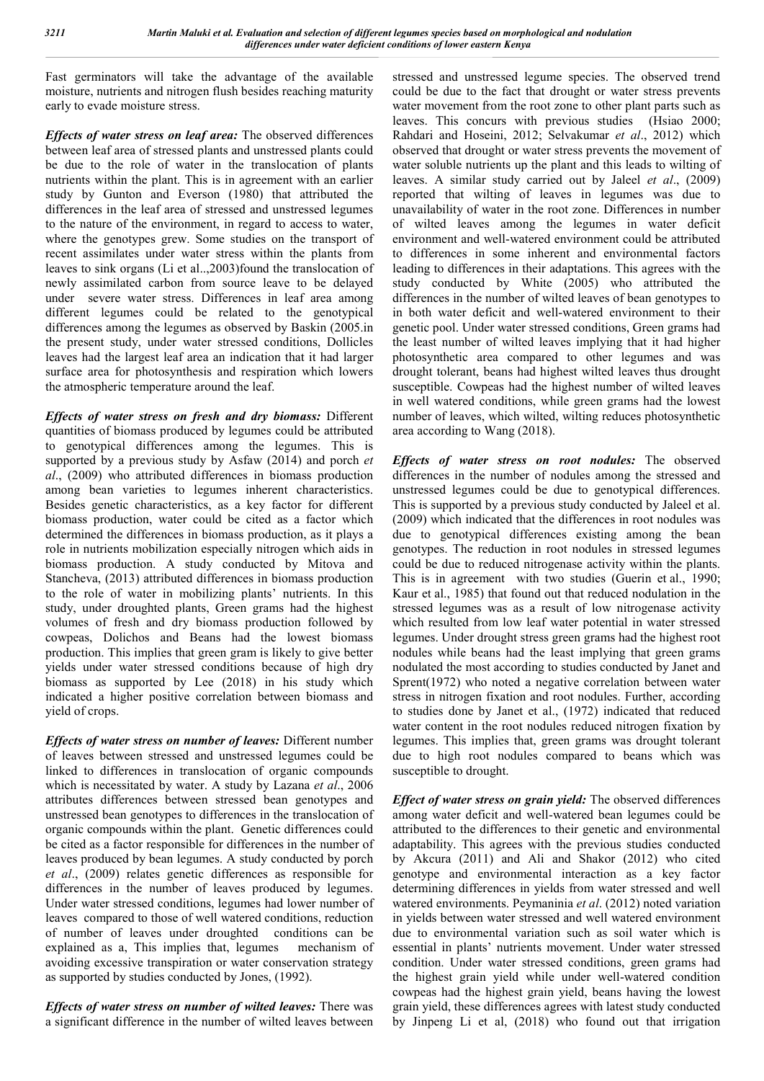Fast germinators will take the advantage of the available moisture, nutrients and nitrogen flush besides reaching maturity early to evade moisture stress.

*Effects of water stress on leaf area:* The observed differences between leaf area of stressed plants and unstressed plants could be due to the role of water in the translocation of plants nutrients within the plant. This is in agreement with an earlier study by Gunton and Everson (1980) that attributed the differences in the leaf area of stressed and unstressed legumes to the nature of the environment, in regard to access to water, where the genotypes grew. Some studies on the transport of recent assimilates under water stress within the plants from leaves to sink organs (Li et al..,2003)found the translocation of newly assimilated carbon from source leave to be delayed under severe water stress. Differences in leaf area among different legumes could be related to the genotypical differences among the legumes as observed by Baskin (2005.in the present study, under water stressed conditions, Dollicles leaves had the largest leaf area an indication that it had larger surface area for photosynthesis and respiration which lowers the atmospheric temperature around the leaf.

*Effects of water stress on fresh and dry biomass:* Different quantities of biomass produced by legumes could be attributed to genotypical differences among the legumes. This is supported by a previous study by Asfaw (2014) and porch *et al*., (2009) who attributed differences in biomass production among bean varieties to legumes inherent characteristics. Besides genetic characteristics, as a key factor for different biomass production, water could be cited as a factor which determined the differences in biomass production, as it plays a role in nutrients mobilization especially nitrogen which aids in biomass production. A study conducted by Mitova and Stancheva, (2013) attributed differences in biomass production to the role of water in mobilizing plants' nutrients. In this study, under droughted plants, Green grams had the highest volumes of fresh and dry biomass production followed by cowpeas, Dolichos and Beans had the lowest biomass production. This implies that green gram is likely to give better yields under water stressed conditions because of high dry biomass as supported by Lee (2018) in his study which indicated a higher positive correlation between biomass and yield of crops.

*Effects of water stress on number of leaves:* Different number of leaves between stressed and unstressed legumes could be linked to differences in translocation of organic compounds which is necessitated by water. A study by Lazana *et al*., 2006 attributes differences between stressed bean genotypes and unstressed bean genotypes to differences in the translocation of organic compounds within the plant. Genetic differences could be cited as a factor responsible for differences in the number of leaves produced by bean legumes. A study conducted by porch *et al*., (2009) relates genetic differences as responsible for differences in the number of leaves produced by legumes. Under water stressed conditions, legumes had lower number of leaves compared to those of well watered conditions, reduction of number of leaves under droughted conditions can be explained as a, This implies that, legumes mechanism of avoiding excessive transpiration or water conservation strategy as supported by studies conducted by Jones, (1992).

*Effects of water stress on number of wilted leaves:* There was a significant difference in the number of wilted leaves between stressed and unstressed legume species. The observed trend could be due to the fact that drought or water stress prevents water movement from the root zone to other plant parts such as leaves. This concurs with previous studies (Hsiao 2000; Rahdari and Hoseini, 2012; Selvakumar *et al*., 2012) which observed that drought or water stress prevents the movement of water soluble nutrients up the plant and this leads to wilting of leaves. A similar study carried out by Jaleel *et al*., (2009) reported that wilting of leaves in legumes was due to unavailability of water in the root zone. Differences in number of wilted leaves among the legumes in water deficit environment and well-watered environment could be attributed to differences in some inherent and environmental factors leading to differences in their adaptations. This agrees with the study conducted by White (2005) who attributed the differences in the number of wilted leaves of bean genotypes to in both water deficit and well-watered environment to their genetic pool. Under water stressed conditions, Green grams had the least number of wilted leaves implying that it had higher photosynthetic area compared to other legumes and was drought tolerant, beans had highest wilted leaves thus drought susceptible. Cowpeas had the highest number of wilted leaves in well watered conditions, while green grams had the lowest number of leaves, which wilted, wilting reduces photosynthetic area according to Wang (2018).

*Effects of water stress on root nodules:* The observed differences in the number of nodules among the stressed and unstressed legumes could be due to genotypical differences. This is supported by a previous study conducted by Jaleel et al. (2009) which indicated that the differences in root nodules was due to genotypical differences existing among the bean genotypes. The reduction in root nodules in stressed legumes could be due to reduced nitrogenase activity within the plants. This is in agreement with two studies (Guerin et al., 1990; Kaur et al., 1985) that found out that reduced nodulation in the stressed legumes was as a result of low nitrogenase activity which resulted from low leaf water potential in water stressed legumes. Under drought stress green grams had the highest root nodules while beans had the least implying that green grams nodulated the most according to studies conducted by Janet and Sprent(1972) who noted a negative correlation between water stress in nitrogen fixation and root nodules. Further, according to studies done by Janet et al., (1972) indicated that reduced water content in the root nodules reduced nitrogen fixation by legumes. This implies that, green grams was drought tolerant due to high root nodules compared to beans which was susceptible to drought.

*Effect of water stress on grain yield:* The observed differences among water deficit and well-watered bean legumes could be attributed to the differences to their genetic and environmental adaptability. This agrees with the previous studies conducted by Akcura (2011) and Ali and Shakor (2012) who cited genotype and environmental interaction as a key factor determining differences in yields from water stressed and well watered environments. Peymaninia *et al*. (2012) noted variation in yields between water stressed and well watered environment due to environmental variation such as soil water which is essential in plants' nutrients movement. Under water stressed condition. Under water stressed conditions, green grams had the highest grain yield while under well-watered condition cowpeas had the highest grain yield, beans having the lowest grain yield, these differences agrees with latest study conducted by Jinpeng Li et al, (2018) who found out that irrigation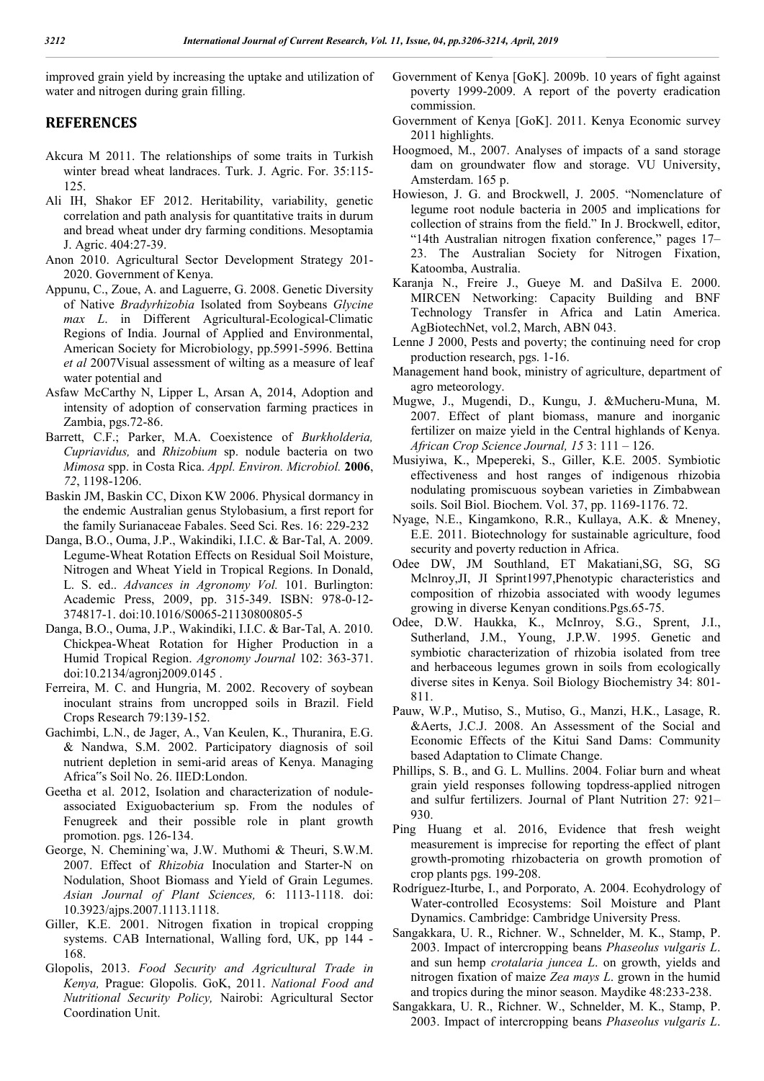improved grain yield by increasing the uptake and utilization of water and nitrogen during grain filling.

#### **REFERENCES**

- Akcura M 2011. The relationships of some traits in Turkish winter bread wheat landraces. Turk. J. Agric. For. 35:115- 125.
- Ali IH, Shakor EF 2012. Heritability, variability, genetic correlation and path analysis for quantitative traits in durum and bread wheat under dry farming conditions. Mesoptamia J. Agric. 404:27-39.
- Anon 2010. Agricultural Sector Development Strategy 201- 2020. Government of Kenya.
- Appunu, C., Zoue, A. and Laguerre, G. 2008. Genetic Diversity of Native *Bradyrhizobia* Isolated from Soybeans *Glycine max L*. in Different Agricultural-Ecological-Climatic Regions of India. Journal of Applied and Environmental, American Society for Microbiology, pp.5991-5996. Bettina *et al* 2007Visual assessment of wilting as a measure of leaf water potential and
- Asfaw McCarthy N, Lipper L, Arsan A, 2014, Adoption and intensity of adoption of conservation farming practices in Zambia, pgs.72-86.
- Barrett, C.F.; Parker, M.A. Coexistence of *Burkholderia, Cupriavidus,* and *Rhizobium* sp. nodule bacteria on two *Mimosa* spp. in Costa Rica. *Appl. Environ. Microbiol.* **2006**, *72*, 1198-1206.
- Baskin JM, Baskin CC, Dixon KW 2006. Physical dormancy in the endemic Australian genus Stylobasium, a first report for the family Surianaceae Fabales. Seed Sci. Res. 16: 229-232
- Danga, B.O., Ouma, J.P., Wakindiki, I.I.C. & Bar-Tal, A. 2009. Legume-Wheat Rotation Effects on Residual Soil Moisture, Nitrogen and Wheat Yield in Tropical Regions. In Donald, L. S. ed.. *Advances in Agronomy Vol.* 101. Burlington: Academic Press, 2009, pp. 315-349. ISBN: 978-0-12- 374817-1. doi:10.1016/S0065-21130800805-5
- Danga, B.O., Ouma, J.P., Wakindiki, I.I.C. & Bar-Tal, A. 2010. Chickpea-Wheat Rotation for Higher Production in a Humid Tropical Region. *Agronomy Journal* 102: 363-371. doi:10.2134/agronj2009.0145 .
- Ferreira, M. C. and Hungria, M. 2002. Recovery of soybean inoculant strains from uncropped soils in Brazil. Field Crops Research 79:139-152.
- Gachimbi, L.N., de Jager, A., Van Keulen, K., Thuranira, E.G. & Nandwa, S.M. 2002. Participatory diagnosis of soil nutrient depletion in semi-arid areas of Kenya. Managing Africa"s Soil No. 26. IIED:London.
- Geetha et al. 2012, Isolation and characterization of noduleassociated Exiguobacterium sp. From the nodules of Fenugreek and their possible role in plant growth promotion. pgs. 126-134.
- George, N. Chemining`wa, J.W. Muthomi & Theuri, S.W.M. 2007. Effect of *Rhizobia* Inoculation and Starter-N on Nodulation, Shoot Biomass and Yield of Grain Legumes. *Asian Journal of Plant Sciences,* 6: 1113-1118. doi: 10.3923/ajps.2007.1113.1118.
- Giller, K.E. 2001. Nitrogen fixation in tropical cropping systems. CAB International, Walling ford, UK, pp 144 - 168.
- Glopolis, 2013. *Food Security and Agricultural Trade in Kenya,* Prague: Glopolis. GoK, 2011. *National Food and Nutritional Security Policy,* Nairobi: Agricultural Sector Coordination Unit.
- Government of Kenya [GoK]. 2009b. 10 years of fight against poverty 1999-2009. A report of the poverty eradication commission.
- Government of Kenya [GoK]. 2011. Kenya Economic survey 2011 highlights.
- Hoogmoed, M., 2007. Analyses of impacts of a sand storage dam on groundwater flow and storage. VU University, Amsterdam. 165 p.
- Howieson, J. G. and Brockwell, J. 2005. "Nomenclature of legume root nodule bacteria in 2005 and implications for collection of strains from the field." In J. Brockwell, editor, "14th Australian nitrogen fixation conference," pages 17– 23. The Australian Society for Nitrogen Fixation, Katoomba, Australia.
- Karanja N., Freire J., Gueye M. and DaSilva E. 2000. MIRCEN Networking: Capacity Building and BNF Technology Transfer in Africa and Latin America. AgBiotechNet, vol.2, March, ABN 043.
- Lenne J 2000, Pests and poverty; the continuing need for crop production research, pgs. 1-16.
- Management hand book, ministry of agriculture, department of agro meteorology.
- Mugwe, J., Mugendi, D., Kungu, J. &Mucheru-Muna, M. 2007. Effect of plant biomass, manure and inorganic fertilizer on maize yield in the Central highlands of Kenya. *African Crop Science Journal, 15* 3: 111 – 126.
- Musiyiwa, K., Mpepereki, S., Giller, K.E. 2005. Symbiotic effectiveness and host ranges of indigenous rhizobia nodulating promiscuous soybean varieties in Zimbabwean soils. Soil Biol. Biochem. Vol. 37, pp. 1169-1176. 72.
- Nyage, N.E., Kingamkono, R.R., Kullaya, A.K. & Mneney, E.E. 2011. Biotechnology for sustainable agriculture, food security and poverty reduction in Africa.
- Odee DW, JM Southland, ET Makatiani,SG, SG, SG Mclnroy,JI, JI Sprint1997,Phenotypic characteristics and composition of rhizobia associated with woody legumes growing in diverse Kenyan conditions.Pgs.65-75.
- Odee, D.W. Haukka, K., McInroy, S.G., Sprent, J.I., Sutherland, J.M., Young, J.P.W. 1995. Genetic and symbiotic characterization of rhizobia isolated from tree and herbaceous legumes grown in soils from ecologically diverse sites in Kenya. Soil Biology Biochemistry 34: 801- 811.
- Pauw, W.P., Mutiso, S., Mutiso, G., Manzi, H.K., Lasage, R. &Aerts, J.C.J. 2008. An Assessment of the Social and Economic Effects of the Kitui Sand Dams: Community based Adaptation to Climate Change.
- Phillips, S. B., and G. L. Mullins. 2004. Foliar burn and wheat grain yield responses following topdress-applied nitrogen and sulfur fertilizers. Journal of Plant Nutrition 27: 921– 930.
- Ping Huang et al. 2016, Evidence that fresh weight measurement is imprecise for reporting the effect of plant growth-promoting rhizobacteria on growth promotion of crop plants pgs. 199-208.
- Rodríguez-Iturbe, I., and Porporato, A. 2004. Ecohydrology of Water-controlled Ecosystems: Soil Moisture and Plant Dynamics. Cambridge: Cambridge University Press.
- Sangakkara, U. R., Richner. W., Schnelder, M. K., Stamp, P. 2003. Impact of intercropping beans *Phaseolus vulgaris L*. and sun hemp *crotalaria juncea L*. on growth, yields and nitrogen fixation of maize *Zea mays L*. grown in the humid and tropics during the minor season. Maydike 48:233-238.
- Sangakkara, U. R., Richner. W., Schnelder, M. K., Stamp, P. 2003. Impact of intercropping beans *Phaseolus vulgaris L*.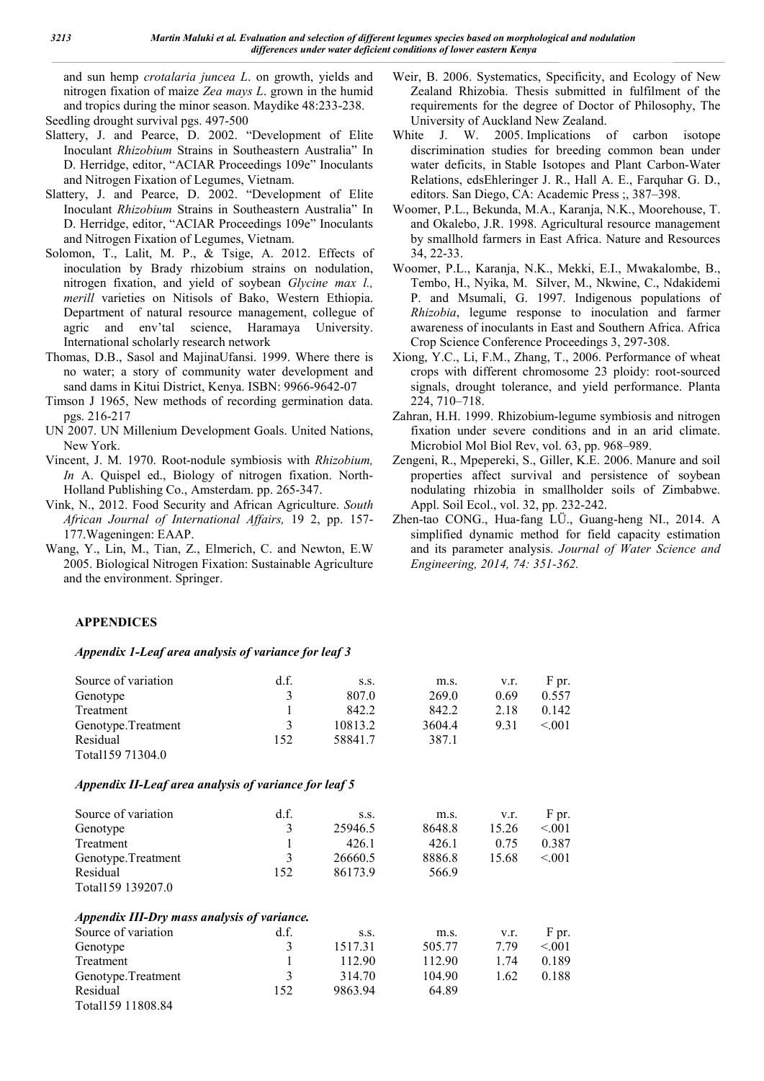and sun hemp *crotalaria juncea L*. on growth, yields and nitrogen fixation of maize *Zea mays L*. grown in the humid and tropics during the minor season. Maydike 48:233-238. Seedling drought survival pgs. 497-500

- Slattery, J. and Pearce, D. 2002. "Development of Elite Inoculant *Rhizobium* Strains in Southeastern Australia" In D. Herridge, editor, "ACIAR Proceedings 109e" Inoculants and Nitrogen Fixation of Legumes, Vietnam.
- Slattery, J. and Pearce, D. 2002. "Development of Elite Inoculant *Rhizobium* Strains in Southeastern Australia" In D. Herridge, editor, "ACIAR Proceedings 109e" Inoculants and Nitrogen Fixation of Legumes, Vietnam.
- Solomon, T., Lalit, M. P., & Tsige, A. 2012. Effects of inoculation by Brady rhizobium strains on nodulation, nitrogen fixation, and yield of soybean *Glycine max l., merill* varieties on Nitisols of Bako, Western Ethiopia. Department of natural resource management, collegue of agric and env'tal science, Haramaya University. International scholarly research network
- Thomas, D.B., Sasol and MajinaUfansi. 1999. Where there is no water; a story of community water development and sand dams in Kitui District, Kenya. ISBN: 9966-9642-07
- Timson J 1965, New methods of recording germination data. pgs. 216-217
- UN 2007. UN Millenium Development Goals. United Nations, New York.
- Vincent, J. M. 1970. Root-nodule symbiosis with *Rhizobium, In* A. Quispel ed., Biology of nitrogen fixation. North-Holland Publishing Co., Amsterdam. pp. 265-347.
- Vink, N., 2012. Food Security and African Agriculture. *South African Journal of International Affairs,* 19 2, pp. 157- 177.Wageningen: EAAP.
- Wang, Y., Lin, M., Tian, Z., Elmerich, C. and Newton, E.W 2005. Biological Nitrogen Fixation: Sustainable Agriculture and the environment. Springer.
- Weir, B. 2006. Systematics, Specificity, and Ecology of New Zealand Rhizobia. Thesis submitted in fulfilment of the requirements for the degree of Doctor of Philosophy, The University of Auckland New Zealand.
- White J. W. 2005. Implications of carbon isotope discrimination studies for breeding common bean under water deficits, in Stable Isotopes and Plant Carbon-Water Relations, edsEhleringer J. R., Hall A. E., Farquhar G. D., editors. San Diego, CA: Academic Press ;, 387–398.
- Woomer, P.L., Bekunda, M.A., Karanja, N.K., Moorehouse, T. and Okalebo, J.R. 1998. Agricultural resource management by smallhold farmers in East Africa. Nature and Resources 34, 22-33.
- Woomer, P.L., Karanja, N.K., Mekki, E.I., Mwakalombe, B., Tembo, H., Nyika, M. Silver, M., Nkwine, C., Ndakidemi P. and Msumali, G. 1997. Indigenous populations of *Rhizobia*, legume response to inoculation and farmer awareness of inoculants in East and Southern Africa. Africa Crop Science Conference Proceedings 3, 297-308.
- Xiong, Y.C., Li, F.M., Zhang, T., 2006. Performance of wheat crops with different chromosome 23 ploidy: root-sourced signals, drought tolerance, and yield performance. Planta 224, 710–718.
- Zahran, H.H. 1999. Rhizobium-legume symbiosis and nitrogen fixation under severe conditions and in an arid climate. Microbiol Mol Biol Rev, vol. 63, pp. 968–989.
- Zengeni, R., Mpepereki, S., Giller, K.E. 2006. Manure and soil properties affect survival and persistence of soybean nodulating rhizobia in smallholder soils of Zimbabwe. Appl. Soil Ecol., vol. 32, pp. 232-242.
- Zhen-tao CONG., Hua-fang LÜ., Guang-heng NI., 2014. A simplified dynamic method for field capacity estimation and its parameter analysis. *Journal of Water Science and Engineering, 2014, 74: 351-362.*

#### **APPENDICES**

#### *Appendix 1-Leaf area analysis of variance for leaf 3*

| Source of variation                                   | d.f. | S.S.    | m.s.   | v.r.  | F pr.  |  |  |  |
|-------------------------------------------------------|------|---------|--------|-------|--------|--|--|--|
| Genotype                                              | 3    | 807.0   | 269.0  | 0.69  | 0.557  |  |  |  |
| Treatment                                             | 1    | 842.2   | 842.2  | 2.18  | 0.142  |  |  |  |
| Genotype.Treatment                                    | 3    | 10813.2 | 3604.4 | 9.31  | < 0.01 |  |  |  |
| Residual                                              | 152  | 58841.7 | 387.1  |       |        |  |  |  |
| Total159 71304.0                                      |      |         |        |       |        |  |  |  |
| Appendix II-Leaf area analysis of variance for leaf 5 |      |         |        |       |        |  |  |  |
| Source of variation                                   | df.  | S.S.    | m.s.   | v.r.  | F pr.  |  |  |  |
| Genotype                                              | 3    | 25946.5 | 8648.8 | 15.26 | < 001  |  |  |  |
| Treatment                                             | 1    | 426.1   | 426.1  | 0.75  | 0.387  |  |  |  |
| Genotype.Treatment                                    | 3    | 26660.5 | 8886.8 | 15.68 | < 001  |  |  |  |
| Residual                                              | 152  | 86173.9 | 566.9  |       |        |  |  |  |
| Total159 139207.0                                     |      |         |        |       |        |  |  |  |
| Appendix III-Dry mass analysis of variance.           |      |         |        |       |        |  |  |  |
| Source of variation                                   | df.  | S.S.    | m.s.   | V.I.  | F pr.  |  |  |  |
| Genotype                                              | 3    | 1517.31 | 505.77 | 7.79  | < 001  |  |  |  |
| Treatment                                             | 1    | 112.90  | 112.90 | 1.74  | 0.189  |  |  |  |
| Genotype.Treatment                                    | 3    | 314.70  | 104.90 | 1.62  | 0.188  |  |  |  |
| Residual                                              | 152  | 9863.94 | 64.89  |       |        |  |  |  |
| Total159 11808.84                                     |      |         |        |       |        |  |  |  |